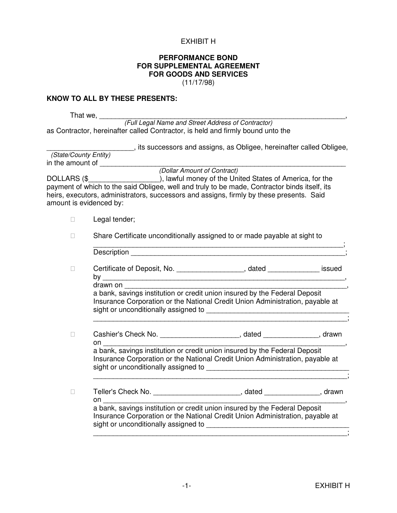### EXHIBIT H

### **PERFORMANCE BOND FOR SUPPLEMENTAL AGREEMENT FOR GOODS AND SERVICES** (11/17/98)

#### **KNOW TO ALL BY THESE PRESENTS:**

That we, \_\_\_\_\_\_\_\_\_\_\_\_\_\_\_\_\_\_\_\_\_\_\_\_\_\_\_\_\_\_\_\_\_\_\_\_\_\_\_\_\_\_\_\_\_\_\_\_\_\_\_\_\_\_\_\_\_\_\_\_\_\_,

(Full Legal Name and Street Address of Contractor) as Contractor, hereinafter called Contractor, is held and firmly bound unto the

\_\_\_\_\_\_\_\_\_\_\_\_\_\_\_\_\_\_\_\_\_\_, its successors and assigns, as Obligee, hereinafter called Obligee,

 (State/County Entity) in the amount of \_\_\_\_\_\_\_\_\_\_\_\_\_\_\_\_\_\_\_\_\_\_\_\_\_\_\_\_\_\_\_\_\_\_\_\_\_\_\_\_\_\_\_\_\_\_\_\_\_\_\_\_\_\_\_\_\_\_\_\_\_\_

(Dollar Amount of Contract)

DOLLARS (\$\_\_\_\_\_\_\_\_\_\_\_\_\_\_\_\_\_\_\_\_\_), lawful money of the United States of America, for the payment of which to the said Obligee, well and truly to be made, Contractor binds itself, its heirs, executors, administrators, successors and assigns, firmly by these presents. Said amount is evidenced by:

Legal tender;

Share Certificate unconditionally assigned to or made payable at sight to

| Description |  |  |
|-------------|--|--|

Certificate of Deposit, No. \_\_\_\_\_\_\_\_\_\_\_\_\_\_\_\_\_\_, dated \_\_\_\_\_\_\_\_\_\_\_\_\_\_\_ issued by  $\Box$ 

drawn on **web** 

 a bank, savings institution or credit union insured by the Federal Deposit Insurance Corporation or the National Credit Union Administration, payable at sight or unconditionally assigned to \_\_\_\_\_\_\_\_\_\_\_\_\_\_\_\_\_\_\_\_\_\_\_\_\_\_\_\_\_\_\_\_\_\_\_\_

\_\_\_\_\_\_\_\_\_\_\_\_\_\_\_\_\_\_\_\_\_\_\_\_\_\_\_\_\_\_\_\_\_\_\_\_\_\_\_\_\_\_\_\_\_\_\_\_\_\_\_\_\_\_\_\_\_\_\_\_\_\_\_\_;

\_\_\_\_\_\_\_\_\_\_\_\_\_\_\_\_\_\_\_\_\_\_\_\_\_\_\_\_\_\_\_\_\_\_\_\_\_\_\_\_\_\_\_\_\_\_\_\_\_\_\_\_\_\_\_\_\_\_\_\_\_\_\_\_;

\_\_\_\_\_\_\_\_\_\_\_\_\_\_\_\_\_\_\_\_\_\_\_\_\_\_\_\_\_\_\_\_\_\_\_\_\_\_\_\_\_\_\_\_\_\_\_\_\_\_\_\_\_\_\_\_\_\_\_\_\_\_\_\_;

| Cashier's Check No. | dated | drawn |
|---------------------|-------|-------|
| on                  |       |       |

 a bank, savings institution or credit union insured by the Federal Deposit Insurance Corporation or the National Credit Union Administration, payable at sight or unconditionally assigned to  $\Box$ 

| Teller's Check No. | dated<br>drawn                                                                                                                                                                                                                                                          |
|--------------------|-------------------------------------------------------------------------------------------------------------------------------------------------------------------------------------------------------------------------------------------------------------------------|
| or                 |                                                                                                                                                                                                                                                                         |
|                    | a bank, savings institution or credit union insured by the Federal Deposit<br>Le concert of $\bigcap_{n=1}^{\infty}$ and the contract of $\bigcap_{n=1}^{\infty}$ and $\bigcap_{n=1}^{\infty}$ is the contract of $\bigcap_{n=1}^{\infty}$ and $\bigcap_{n=1}^{\infty}$ |

Insurance Corporation or the National Credit Union Administration, payable at sight or unconditionally assigned to \_\_\_\_\_\_\_\_\_\_\_\_\_\_\_\_\_\_\_\_\_\_\_\_\_\_\_\_\_\_\_\_\_\_\_\_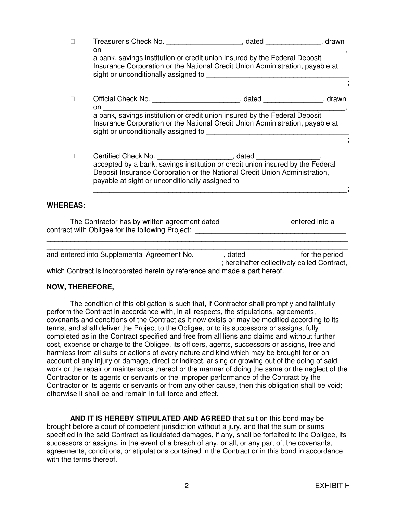| Insurance Corporation or the National Credit Union Administration, payable at                                                                                |
|--------------------------------------------------------------------------------------------------------------------------------------------------------------|
| Official Check No. _________________________________, dated ___________________, drawn                                                                       |
| a bank, savings institution or credit union insured by the Federal Deposit<br>Insurance Corporation or the National Credit Union Administration, payable at  |
| accepted by a bank, savings institution or credit union insured by the Federal<br>Deposit Insurance Corporation or the National Credit Union Administration, |
|                                                                                                                                                              |

The Contractor has by written agreement dated \_\_\_\_\_\_\_\_\_\_\_\_\_\_\_\_\_\_\_\_ entered into a contract with Obligee for the following Project:

| and entered into Supplemental Agreement No.                                | dated | for the period                              |
|----------------------------------------------------------------------------|-------|---------------------------------------------|
|                                                                            |       | ; hereinafter collectively called Contract, |
| which Contract is incorporated herein by reference and made a part hereof. |       |                                             |

\_\_\_\_\_\_\_\_\_\_\_\_\_\_\_\_\_\_\_\_\_\_\_\_\_\_\_\_\_\_\_\_\_\_\_\_\_\_\_\_\_\_\_\_\_\_\_\_\_\_\_\_\_\_\_\_\_\_\_\_\_\_\_\_\_\_\_\_\_\_\_\_\_\_\_\_

## **NOW, THEREFORE,**

 The condition of this obligation is such that, if Contractor shall promptly and faithfully perform the Contract in accordance with, in all respects, the stipulations, agreements, covenants and conditions of the Contract as it now exists or may be modified according to its terms, and shall deliver the Project to the Obligee, or to its successors or assigns, fully completed as in the Contract specified and free from all liens and claims and without further cost, expense or charge to the Obligee, its officers, agents, successors or assigns, free and harmless from all suits or actions of every nature and kind which may be brought for or on account of any injury or damage, direct or indirect, arising or growing out of the doing of said work or the repair or maintenance thereof or the manner of doing the same or the neglect of the Contractor or its agents or servants or the improper performance of the Contract by the Contractor or its agents or servants or from any other cause, then this obligation shall be void; otherwise it shall be and remain in full force and effect.

 **AND IT IS HEREBY STIPULATED AND AGREED** that suit on this bond may be brought before a court of competent jurisdiction without a jury, and that the sum or sums specified in the said Contract as liquidated damages, if any, shall be forfeited to the Obligee, its successors or assigns, in the event of a breach of any, or all, or any part of, the covenants, agreements, conditions, or stipulations contained in the Contract or in this bond in accordance with the terms thereof.